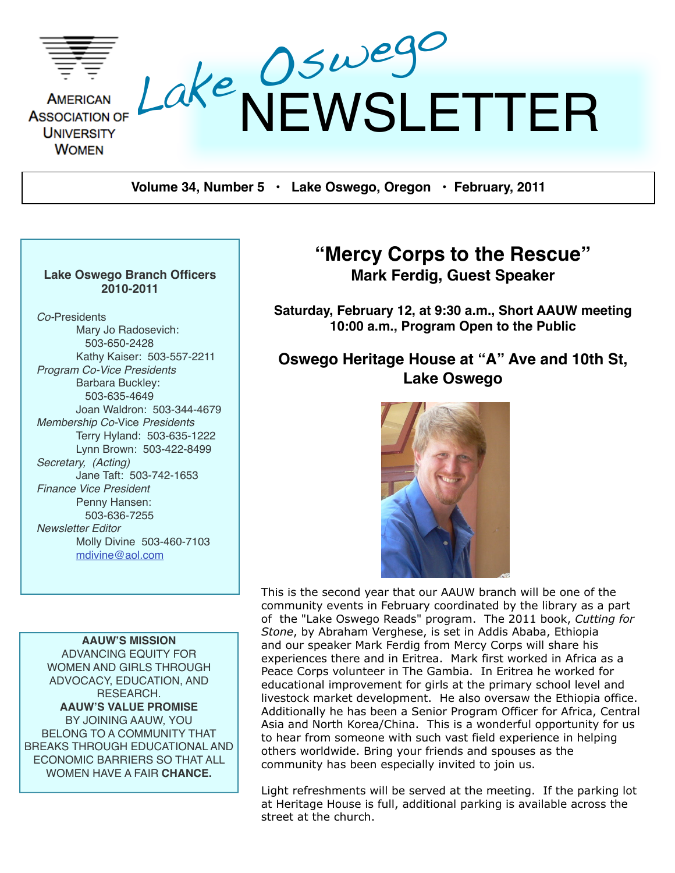

**Volume 34, Number 5 • Lake Oswego, Oregon • February, 2011**

#### **Lake Oswego Branch Officers 2010-2011**

*Co-*Presidents Mary Jo Radosevich: 503-650-2428 Kathy Kaiser: 503-557-2211 *Program Co-Vice Presidents* Barbara Buckley: 503-635-4649 Joan Waldron: 503-344-4679 *Membership Co-*Vice *Presidents* Terry Hyland: 503-635-1222 Lynn Brown: 503-422-8499 *Secretary, (Acting)* Jane Taft: 503-742-1653 *Finance Vice President* Penny Hansen: 503-636-7255 *Newsletter Editor* Molly Divine 503-460-7103 [mdivine@aol.com](mailto:mdivine@aol.com)

**AAUW'S MISSION** ADVANCING EQUITY FOR WOMEN AND GIRLS THROUGH ADVOCACY, EDUCATION, AND RESEARCH. **AAUW'S VALUE PROMISE** BY JOINING AAUW, YOU BELONG TO A COMMUNITY THAT BREAKS THROUGH EDUCATIONAL AND ECONOMIC BARRIERS SO THAT ALL WOMEN HAVE A FAIR **CHANCE.**

# **"Mercy Corps to the Rescue" Mark Ferdig, Guest Speaker**

**Saturday, February 12, at 9:30 a.m., Short AAUW meeting 10:00 a.m., Program Open to the Public**

# **Oswego Heritage House at "A" Ave and 10th St, Lake Oswego**



This is the second year that our AAUW branch will be one of the community events in February coordinated by the library as a part of the "Lake Oswego Reads" program. The 2011 book, *Cutting for Stone*, by Abraham Verghese, is set in Addis Ababa, Ethiopia and our speaker Mark Ferdig from Mercy Corps will share his experiences there and in Eritrea. Mark first worked in Africa as a Peace Corps volunteer in The Gambia. In Eritrea he worked for educational improvement for girls at the primary school level and livestock market development. He also oversaw the Ethiopia office. Additionally he has been a Senior Program Officer for Africa, Central Asia and North Korea/China. This is a wonderful opportunity for us to hear from someone with such vast field experience in helping others worldwide. Bring your friends and spouses as the community has been especially invited to join us.

Light refreshments will be served at the meeting. If the parking lot at Heritage House is full, additional parking is available across the street at the church.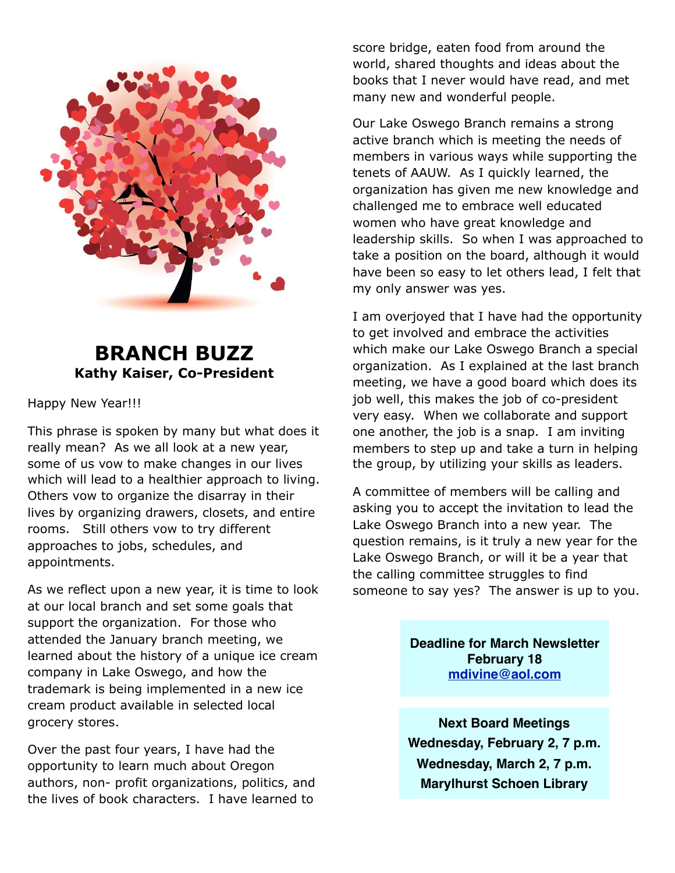

# **BRANCH BUZZ Kathy Kaiser, Co-President**

#### Happy New Year!!!

This phrase is spoken by many but what does it really mean? As we all look at a new year, some of us vow to make changes in our lives which will lead to a healthier approach to living. Others vow to organize the disarray in their lives by organizing drawers, closets, and entire rooms. Still others vow to try different approaches to jobs, schedules, and appointments.

As we reflect upon a new year, it is time to look at our local branch and set some goals that support the organization. For those who attended the January branch meeting, we learned about the history of a unique ice cream company in Lake Oswego, and how the trademark is being implemented in a new ice cream product available in selected local grocery stores.

Over the past four years, I have had the opportunity to learn much about Oregon authors, non- profit organizations, politics, and the lives of book characters. I have learned to

score bridge, eaten food from around the world, shared thoughts and ideas about the books that I never would have read, and met many new and wonderful people.

Our Lake Oswego Branch remains a strong active branch which is meeting the needs of members in various ways while supporting the tenets of AAUW. As I quickly learned, the organization has given me new knowledge and challenged me to embrace well educated women who have great knowledge and leadership skills. So when I was approached to take a position on the board, although it would have been so easy to let others lead, I felt that my only answer was yes.

I am overjoyed that I have had the opportunity to get involved and embrace the activities which make our Lake Oswego Branch a special organization. As I explained at the last branch meeting, we have a good board which does its job well, this makes the job of co-president very easy. When we collaborate and support one another, the job is a snap. I am inviting members to step up and take a turn in helping the group, by utilizing your skills as leaders.

A committee of members will be calling and asking you to accept the invitation to lead the Lake Oswego Branch into a new year. The question remains, is it truly a new year for the Lake Oswego Branch, or will it be a year that the calling committee struggles to find someone to say yes? The answer is up to you.

> **Deadline for March Newsletter February 18 [mdivine@aol.com](mailto:mdivine@aol.com)**

> **Next Board Meetings Wednesday, February 2, 7 p.m. Wednesday, March 2, 7 p.m. Marylhurst Schoen Library**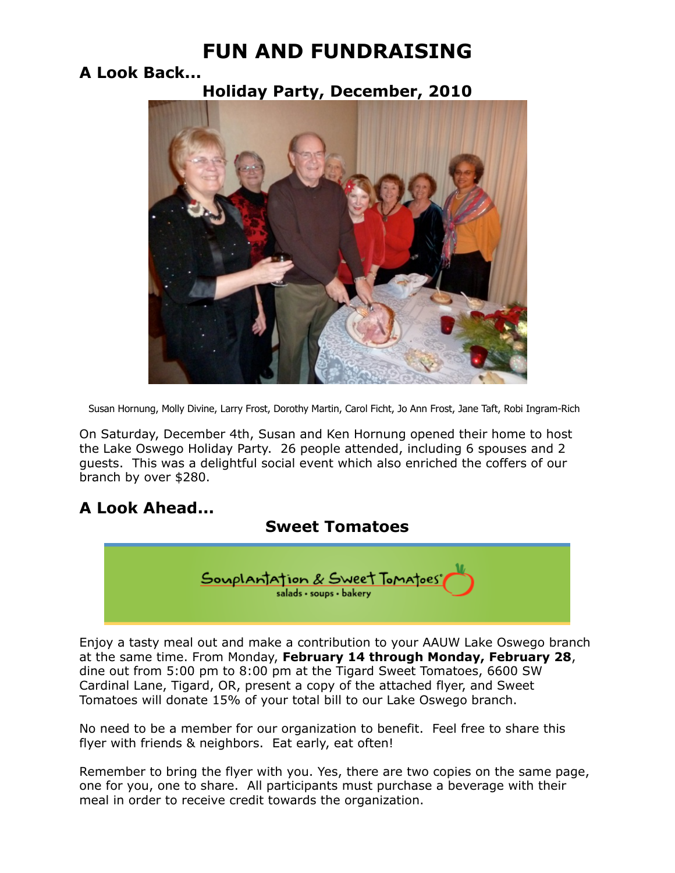# **FUN AND FUNDRAISING**

# **A Look Back...**

**Holiday Party, December, 2010**



Susan Hornung, Molly Divine, Larry Frost, Dorothy Martin, Carol Ficht, Jo Ann Frost, Jane Taft, Robi Ingram-Rich

On Saturday, December 4th, Susan and Ken Hornung opened their home to host the Lake Oswego Holiday Party. 26 people attended, including 6 spouses and 2 guests. This was a delightful social event which also enriched the coffers of our branch by over \$280.

# **A Look Ahead...**

# **Sweet Tomatoes**



Enjoy a tasty meal out and make a contribution to your AAUW Lake Oswego branch at the same time. From Monday, **February 14 through Monday, February 28**, dine out from 5:00 pm to 8:00 pm at the Tigard Sweet Tomatoes, 6600 SW Cardinal Lane, Tigard, OR, present a copy of the attached flyer, and Sweet Tomatoes will donate 15% of your total bill to our Lake Oswego branch.

No need to be a member for our organization to benefit. Feel free to share this flyer with friends & neighbors. Eat early, eat often!

Remember to bring the flyer with you. Yes, there are two copies on the same page, one for you, one to share. All participants must purchase a beverage with their meal in order to receive credit towards the organization.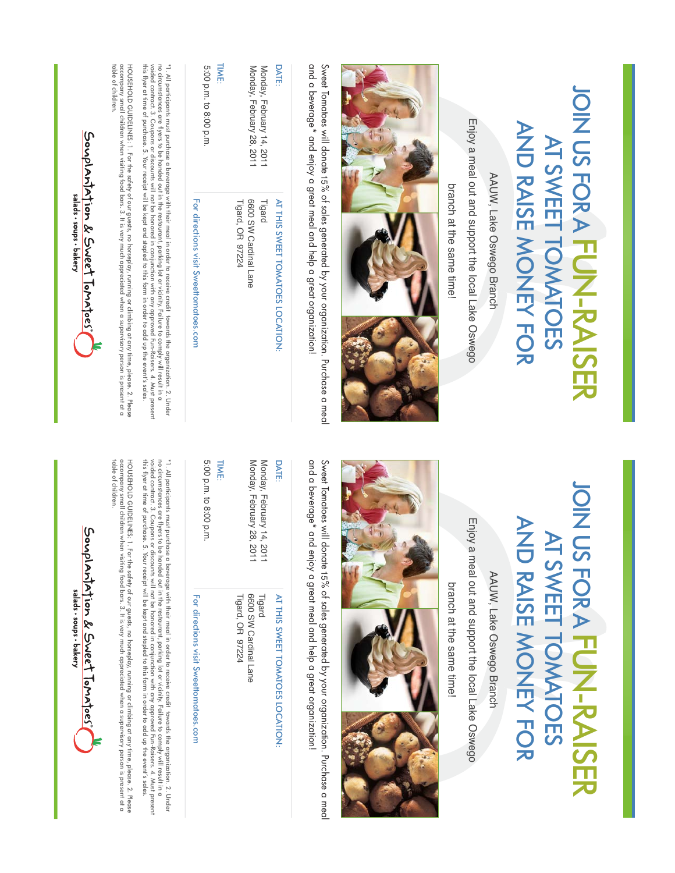| AND RAISE NONEY FOR      | <b>JOIN USFORA</b>   |
|--------------------------|----------------------|
| <b>AT SWEET TOMATOES</b> | $\frac{1}{\sqrt{2}}$ |

Enjoy a meal out and support the local Lake Oswego Enjoy a meal out and support the local Lake Oswego AAUW, Lake Oswego Branch AAUW, Lake Oswego Branch branch at the same time!



and a beverage\* and enjoy a great meal and help a great organization! Sweet Tomatoes will donate 15% of sales generated by your organization. Purchase a meal and a beverage\* and enjoy a great meal and help a great organization! Sweet Tomatoes will donate % of sales generated by your organization. Purchase a meal

| <b>DATE:</b>                                           | AT THIS SWEET TOMATOES LOCATION:                    |
|--------------------------------------------------------|-----------------------------------------------------|
| Monday, February 14, 2011<br>Monday, February 28, 2011 | 6600 SW Cardinal Lane<br>Tigard<br>Tigard, OR 97224 |
| <b>TIME:</b><br>5:00 p.m. to 8:00 p.m.                 | For directions visit Sweetponaroes:com              |
|                                                        |                                                     |

\* 1. All participants must purchase a beverage with their meal in order to receive credit towards the organization. 2. Under<br>\* 1. All participants must purchase a beverage will not be provided to conjunction with any appro voided contract. 3. Coupons or discounts will not be honored in conjunction with any approved Fun-Raisers. 4. Must present this flyer at time of purchase. 5. Your receipt will be kept and stapled to this form in order to add up the event's sales. no circumstances are flyers to be handed out in the restaurant, parking lot or vicinity. Failure to comply will result in a  $^{\ast}$  .  $\overline{\Delta}$  . All participants must purchase a beverage with their meal in order to receive credit to receive credit to  $\overline{\Delta}$  . Under the organization .

HOUSEHOLD GUIDELINES: 1. For the safety of our guests, no horseploy, running or climbing at any time, please. 2. Please<br>accompany small children when visiting food bars. 3. It is very much appreciated when a supervisory pe table of children. accompany small children when visiting food bars. 3. It is very much appreciated when a supervisory person is present at a HOUSEHOLD GUIDELINES: 1. For the safety of our guests, no horseplay, running or climbing at any time, please. 2. Please. 2. Please. 2. Please. 2. Please. 2. Please. 2. Please. 2. Please. 2. Please. 2. Please. 2. Please. 2.

Souplantation & Sweet Tomatoes" salads . soups . bakery

# **JOIN US FOR A FUN-RAISER** JOIN US FOR A **AND RAISE MONEY FOR** AND RAISE MONEY FOR AT SWEET TOMATOES AT SWEET TOMATOES **FUN-RAISER**

Enjoy a meal out and support the local Lake Oswego Enjoy a meal out and support the local Lake Oswego AAUW, Lake Oswego Branch AAUW, Lake Oswego Branch

branch at the same time! branch at the same time!



and a beverage\* and enjoy a great meal and help a great organization! and a beverage\* and enjoy a great meal and help a great organization! Sweet Tomatoes will donate 15% of sales generated by your organization. Purchase a meal Sweet Tomatoes will donate % of sales generated by your organization. Purchase a meal

| <b>DATE:</b>                                         | AT THIS SWEET TOMATOES LOCATION:                    |
|------------------------------------------------------|-----------------------------------------------------|
| Monday, February 28, 201<br>Monday, February 14, 201 | 6600 SW Cardinal Lane<br>Tigard, OR 97224<br>Tigard |
| <b>TIME:</b>                                         |                                                     |
| 5:00 p.m. to 8:00 p.m                                |                                                     |

DATE:

\* 1. All partiapants must purchase a beverage with their meal in order to receive credit towards the organization. 2. Under<br>\* 1. All participants must purchase a beverage with their meal in conjunction with any approved Fu voided contract. 3. Coupons or discounts will not be honored in conjunction with any approved Fun-Raisers. 4. Must present no circumstances are flyers to be handed out in the restaurant, parking lot or vicinity. Failure to comply will result in a  $^{\ast}$  .  $\overline{\Delta}$  . All participants must purchase a beverage with their meal in order to receive credit to receive credit towards the organization. 2. Under

For directions visit Sweettomatoes.com

For directions visit Sweettomatoes.com

HOUSEHOLD GUIDELINES: 1. For the safety of our guests, no horseplay, running or climbing at any time, please. 2. Please<br>accompany small children when visiting food bars. 3. It is very much appreciated when a supervisory pe accompany small children when visiting food bars. 3. It is very much appreciated when a supervisory person is present at a HOUSEHOLD GUIDELINES: 1. For the safety of our guests, no horseplay, running at alless is the the section of any time, please. 2. Please. 2. Please. 2. Please. 2. Please. 2. Please. 2. Please. 2. Please. 2. Please. 2. Plea

Souplantation & Sweet Tomatoes"

salads . soups . bakery

table of children.

this flyer at time of purchase. 5. Your receipt will be kept and stapled to this form in order to add up the event's sales.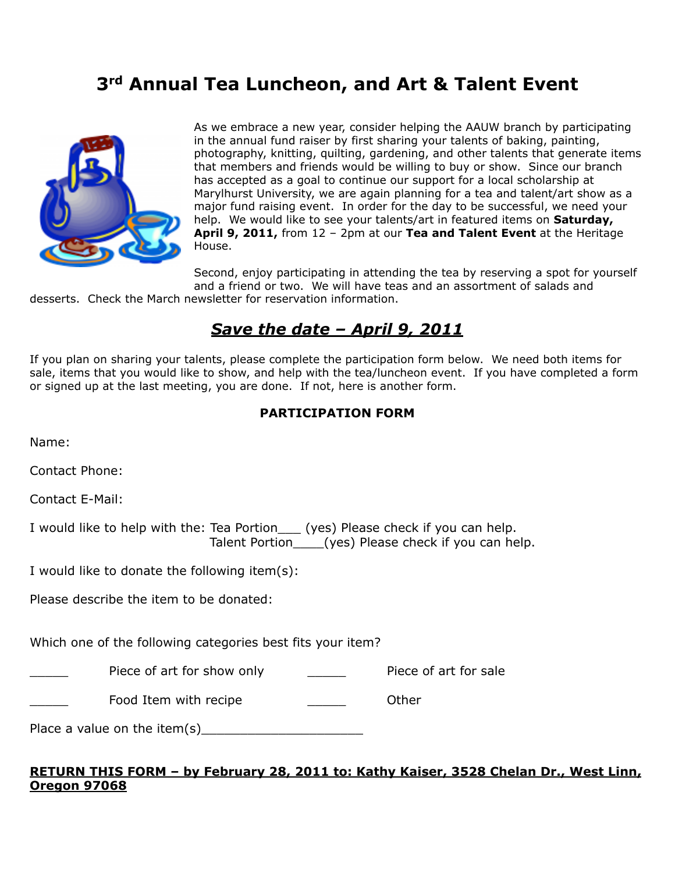# **3rd Annual Tea Luncheon, and Art & Talent Event**



As we embrace a new year, consider helping the AAUW branch by participating in the annual fund raiser by first sharing your talents of baking, painting, photography, knitting, quilting, gardening, and other talents that generate items that members and friends would be willing to buy or show. Since our branch has accepted as a goal to continue our support for a local scholarship at Marylhurst University, we are again planning for a tea and talent/art show as a major fund raising event. In order for the day to be successful, we need your help. We would like to see your talents/art in featured items on **Saturday, April 9, 2011,** from 12 – 2pm at our **Tea and Talent Event** at the Heritage House.

Second, enjoy participating in attending the tea by reserving a spot for yourself and a friend or two. We will have teas and an assortment of salads and

desserts. Check the March newsletter for reservation information.

# *Save the date – April 9, 2011*

If you plan on sharing your talents, please complete the participation form below. We need both items for sale, items that you would like to show, and help with the tea/luncheon event. If you have completed a form or signed up at the last meeting, you are done. If not, here is another form.

#### **PARTICIPATION FORM**

Name:

Contact Phone:

Contact E-Mail:

I would like to help with the: Tea Portion\_\_\_ (yes) Please check if you can help. Talent Portion\_\_\_\_(yes) Please check if you can help.

I would like to donate the following item(s):

Please describe the item to be donated:

Which one of the following categories best fits your item?

Piece of art for show only **Piece of art for sale** 

Food Item with recipe Theorem Communist Communist Communist Communist Communist Communist Communist Communist Communist Communist Communist Communist Communist Communist Communist Communist Communist Communist Communist Co

| Place a value on the item $(s)$ |  |
|---------------------------------|--|
|---------------------------------|--|

#### **RETURN THIS FORM – by February 28, 2011 to: Kathy Kaiser, 3528 Chelan Dr., West Linn, Oregon 97068**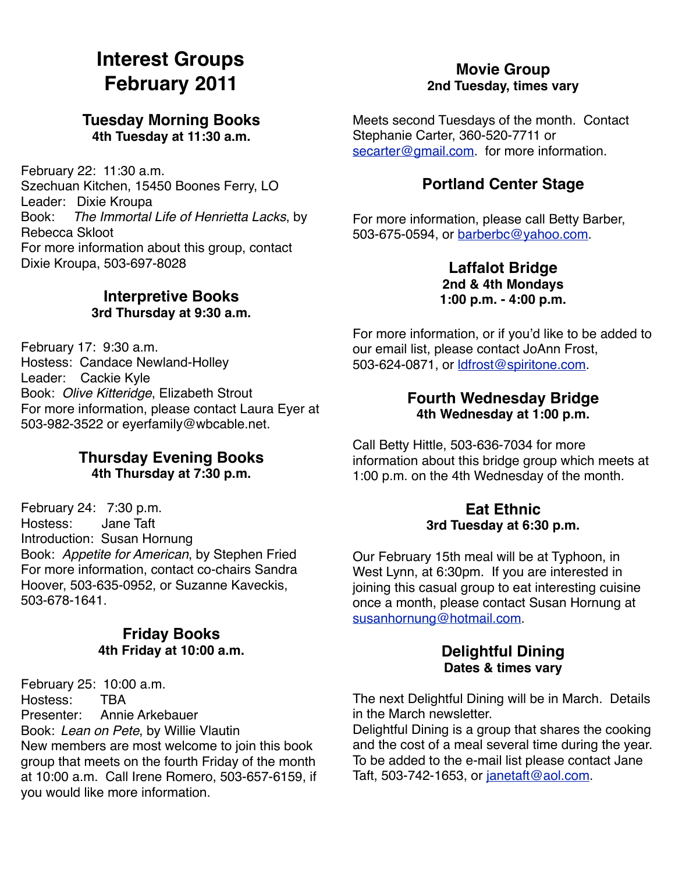# **Interest Groups February 2011**

## **Tuesday Morning Books 4th Tuesday at 11:30 a.m.**

February 22: 11:30 a.m. Szechuan Kitchen, 15450 Boones Ferry, LO Leader: Dixie Kroupa Book: *The Immortal Life of Henrietta Lacks*, by Rebecca Skloot For more information about this group, contact Dixie Kroupa, 503-697-8028

# **Interpretive Books 3rd Thursday at 9:30 a.m.**

February 17: 9:30 a.m. Hostess: Candace Newland-Holley Leader: Cackie Kyle Book: *Olive Kitteridge*, Elizabeth Strout For more information, please contact Laura Eyer at 503-982-3522 or eyerfamily@wbcable.net.

## **Thursday Evening Books 4th Thursday at 7:30 p.m.**

February 24: 7:30 p.m. Hostess: Jane Taft Introduction: Susan Hornung Book: *Appetite for American*, by Stephen Fried For more information, contact co-chairs Sandra Hoover, 503-635-0952, or Suzanne Kaveckis, 503-678-1641.

## **Friday Books 4th Friday at 10:00 a.m.**

February 25: 10:00 a.m.<br>Hostess: TBA Hostess: Presenter: Annie Arkebauer Book: *Lean on Pete*, by Willie Vlautin New members are most welcome to join this book group that meets on the fourth Friday of the month at 10:00 a.m. Call Irene Romero, 503-657-6159, if you would like more information.

## **Movie Group 2nd Tuesday, times vary**

Meets second Tuesdays of the month. Contact Stephanie Carter, 360-520-7711 or [secarter@gmail.com.](mailto:secarter@gmail.com) for more information.

# **Portland Center Stage**

For more information, please call Betty Barber, 503-675-0594, or [barberbc@yahoo.com.](mailto:barberbc@yahoo.com)

## **Laffalot Bridge 2nd & 4th Mondays 1:00 p.m. - 4:00 p.m.**

For more information, or if you'd like to be added to our email list, please contact JoAnn Frost, 503-624-0871, or [ldfrost@spiritone.com.](mailto:ldfrost@spiritone.com)

## **Fourth Wednesday Bridge 4th Wednesday at 1:00 p.m.**

Call Betty Hittle, 503-636-7034 for more information about this bridge group which meets at 1:00 p.m. on the 4th Wednesday of the month.

#### **Eat Ethnic 3rd Tuesday at 6:30 p.m.**

Our February 15th meal will be at Typhoon, in West Lynn, at 6:30pm. If you are interested in joining this casual group to eat interesting cuisine once a month, please contact Susan Hornung at [susanhornung@hotmail.com.](mailto:susanhornung@hotmail.com)

#### **Delightful Dining Dates & times vary**

The next Delightful Dining will be in March. Details in the March newsletter.

Delightful Dining is a group that shares the cooking and the cost of a meal several time during the year. To be added to the e-mail list please contact Jane Taft, 503-742-1653, or [janetaft@aol.com.](mailto:janetaft@aol.com)